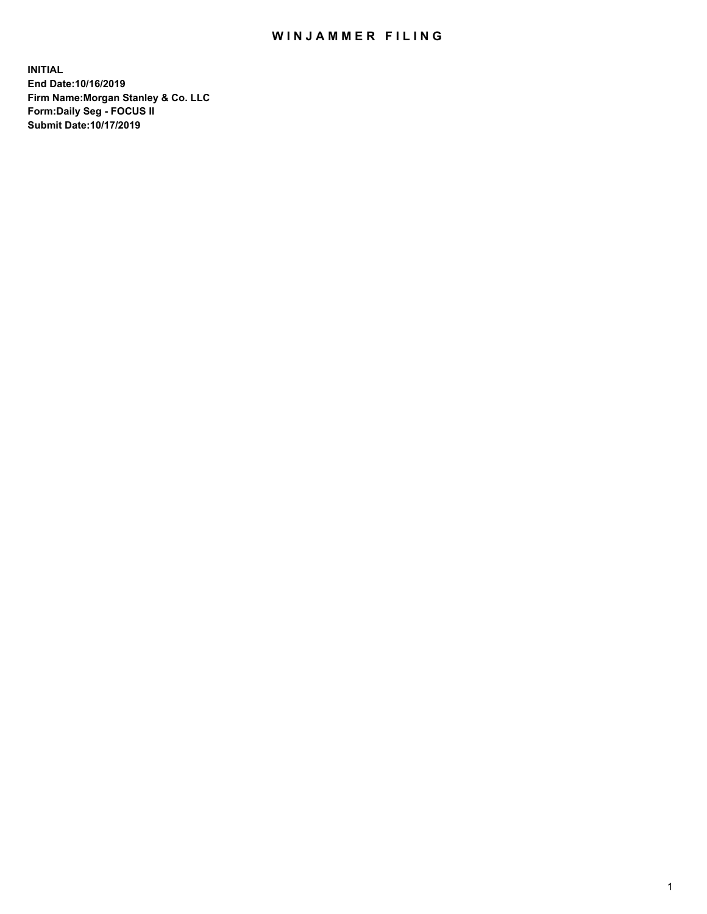## WIN JAMMER FILING

**INITIAL End Date:10/16/2019 Firm Name:Morgan Stanley & Co. LLC Form:Daily Seg - FOCUS II Submit Date:10/17/2019**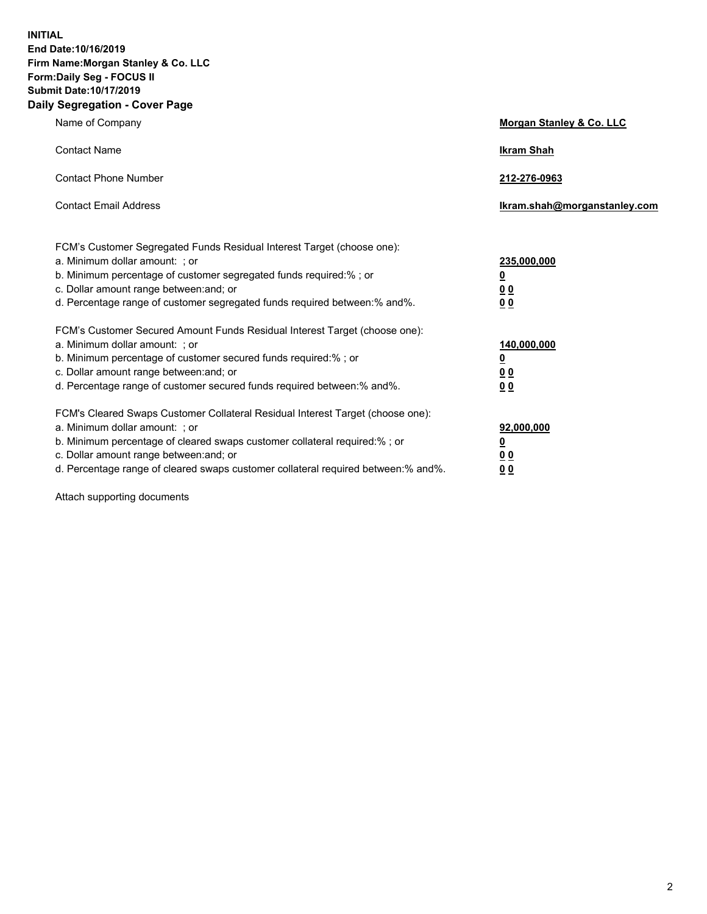**INITIAL End Date:10/16/2019 Firm Name:Morgan Stanley & Co. LLC Form:Daily Seg - FOCUS II Submit Date:10/17/2019 Daily Segregation - Cover Page**

| Name of Company                                                                                                                                                                                                                                                                                                                | Morgan Stanley & Co. LLC                               |
|--------------------------------------------------------------------------------------------------------------------------------------------------------------------------------------------------------------------------------------------------------------------------------------------------------------------------------|--------------------------------------------------------|
| <b>Contact Name</b>                                                                                                                                                                                                                                                                                                            | <b>Ikram Shah</b>                                      |
| <b>Contact Phone Number</b>                                                                                                                                                                                                                                                                                                    | 212-276-0963                                           |
| <b>Contact Email Address</b>                                                                                                                                                                                                                                                                                                   | Ikram.shah@morganstanley.com                           |
| FCM's Customer Segregated Funds Residual Interest Target (choose one):<br>a. Minimum dollar amount: : or<br>b. Minimum percentage of customer segregated funds required:% ; or<br>c. Dollar amount range between: and; or<br>d. Percentage range of customer segregated funds required between:% and%.                         | 235,000,000<br><u>0</u><br>0 <sub>0</sub><br><u>00</u> |
| FCM's Customer Secured Amount Funds Residual Interest Target (choose one):<br>a. Minimum dollar amount: ; or<br>b. Minimum percentage of customer secured funds required:% ; or<br>c. Dollar amount range between: and; or<br>d. Percentage range of customer secured funds required between:% and%.                           | 140,000,000<br><u>0</u><br><u>00</u><br>0 <sub>0</sub> |
| FCM's Cleared Swaps Customer Collateral Residual Interest Target (choose one):<br>a. Minimum dollar amount: ; or<br>b. Minimum percentage of cleared swaps customer collateral required:% ; or<br>c. Dollar amount range between: and; or<br>d. Percentage range of cleared swaps customer collateral required between:% and%. | 92,000,000<br><u>0</u><br><u>00</u><br>0 <sub>0</sub>  |

Attach supporting documents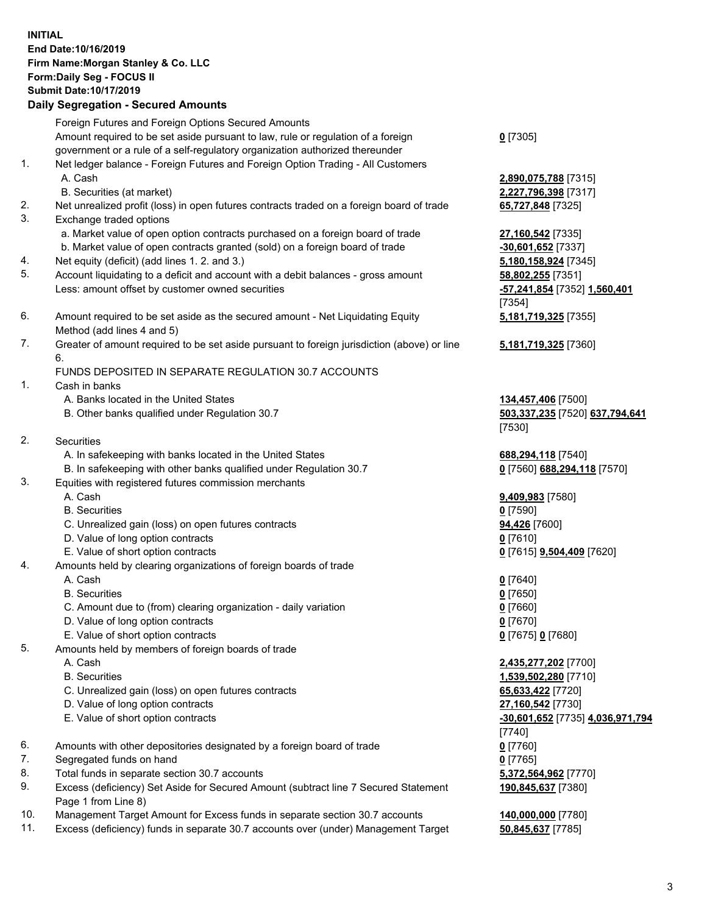## **INITIAL End Date:10/16/2019 Firm Name:Morgan Stanley & Co. LLC Form:Daily Seg - FOCUS II Submit Date:10/17/2019 Daily Segregation - Secured Amounts**

Foreign Futures and Foreign Options Secured Amounts Amount required to be set aside pursuant to law, rule or regulation of a foreign government or a rule of a self-regulatory organization authorized thereunder 1. Net ledger balance - Foreign Futures and Foreign Option Trading - All Customers A. Cash **2,890,075,788** [7315] B. Securities (at market) **2,227,796,398** [7317] 2. Net unrealized profit (loss) in open futures contracts traded on a foreign board of trade **65,727,848** [7325] 3. Exchange traded options a. Market value of open option contracts purchased on a foreign board of trade **27,160,542** [7335] b. Market value of open contracts granted (sold) on a foreign board of trade **-30,601,652** [7337] 4. Net equity (deficit) (add lines 1. 2. and 3.) **5,180,158,924** [7345] 5. Account liquidating to a deficit and account with a debit balances - gross amount **58,802,255** [7351] Less: amount offset by customer owned securities **-57,241,854** [7352] **1,560,401** 6. Amount required to be set aside as the secured amount - Net Liquidating Equity Method (add lines 4 and 5) 7. Greater of amount required to be set aside pursuant to foreign jurisdiction (above) or line 6. FUNDS DEPOSITED IN SEPARATE REGULATION 30.7 ACCOUNTS 1. Cash in banks A. Banks located in the United States **134,457,406** [7500] B. Other banks qualified under Regulation 30.7 **503,337,235** [7520] **637,794,641**

- 2. Securities
	- A. In safekeeping with banks located in the United States **688,294,118** [7540]
	- B. In safekeeping with other banks qualified under Regulation 30.7 **0** [7560] **688,294,118** [7570]
- 3. Equities with registered futures commission merchants
	-
	- B. Securities **0** [7590]
	- C. Unrealized gain (loss) on open futures contracts **94,426** [7600]
	- D. Value of long option contracts **0** [7610]
- E. Value of short option contracts **0** [7615] **9,504,409** [7620]
- 4. Amounts held by clearing organizations of foreign boards of trade
	- A. Cash **0** [7640]
	- B. Securities **0** [7650]
	- C. Amount due to (from) clearing organization daily variation **0** [7660]
	- D. Value of long option contracts **0** [7670]
	- E. Value of short option contracts **0** [7675] **0** [7680]
- 5. Amounts held by members of foreign boards of trade
	-
	-
	- C. Unrealized gain (loss) on open futures contracts **65,633,422** [7720]
	- D. Value of long option contracts **27,160,542** [7730]
	- E. Value of short option contracts **-30,601,652** [7735] **4,036,971,794**
- 6. Amounts with other depositories designated by a foreign board of trade **0** [7760]
- 7. Segregated funds on hand **0** [7765]
- 8. Total funds in separate section 30.7 accounts **5,372,564,962** [7770]
- 9. Excess (deficiency) Set Aside for Secured Amount (subtract line 7 Secured Statement Page 1 from Line 8)
- 10. Management Target Amount for Excess funds in separate section 30.7 accounts **140,000,000** [7780]
- 11. Excess (deficiency) funds in separate 30.7 accounts over (under) Management Target **50,845,637** [7785]

**0** [7305]

[7354] **5,181,719,325** [7355]

**5,181,719,325** [7360]

[7530]

A. Cash **9,409,983** [7580]

 A. Cash **2,435,277,202** [7700] B. Securities **1,539,502,280** [7710] [7740] **190,845,637** [7380]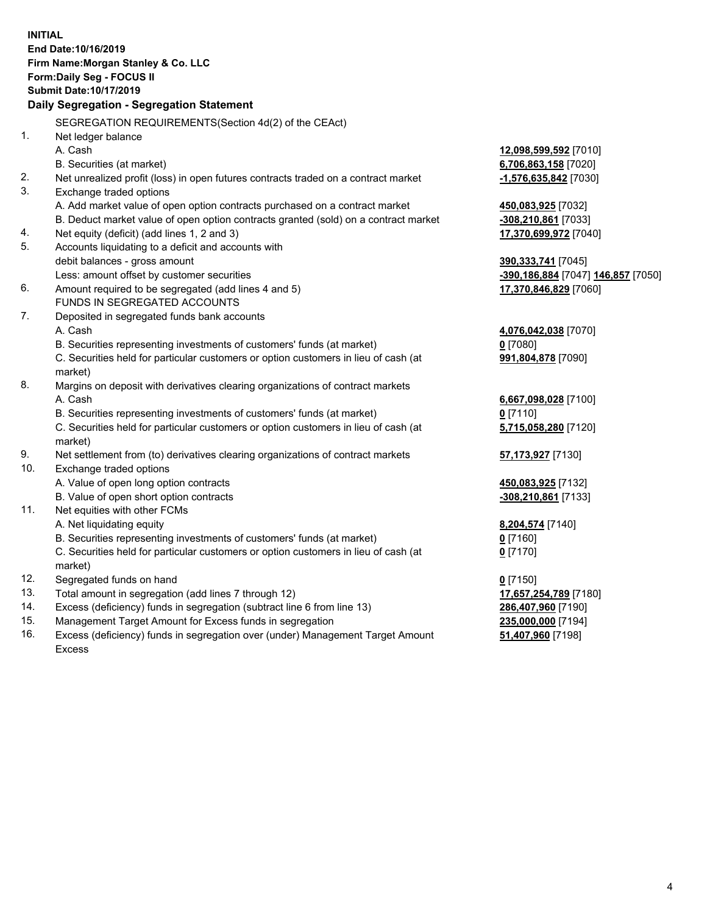|     | <b>INITIAL</b><br>End Date: 10/16/2019<br>Firm Name: Morgan Stanley & Co. LLC<br>Form: Daily Seg - FOCUS II<br>Submit Date: 10/17/2019<br>Daily Segregation - Segregation Statement |                                    |
|-----|-------------------------------------------------------------------------------------------------------------------------------------------------------------------------------------|------------------------------------|
|     | SEGREGATION REQUIREMENTS(Section 4d(2) of the CEAct)                                                                                                                                |                                    |
| 1.  | Net ledger balance                                                                                                                                                                  |                                    |
|     | A. Cash                                                                                                                                                                             | 12,098,599,592 [7010]              |
|     | B. Securities (at market)                                                                                                                                                           | 6,706,863,158 [7020]               |
| 2.  | Net unrealized profit (loss) in open futures contracts traded on a contract market                                                                                                  | -1,576,635,842 [7030]              |
| 3.  | Exchange traded options                                                                                                                                                             |                                    |
|     | A. Add market value of open option contracts purchased on a contract market                                                                                                         | 450,083,925 [7032]                 |
|     | B. Deduct market value of open option contracts granted (sold) on a contract market                                                                                                 | -308,210,861 [7033]                |
| 4.  | Net equity (deficit) (add lines 1, 2 and 3)                                                                                                                                         | 17,370,699,972 [7040]              |
| 5.  | Accounts liquidating to a deficit and accounts with                                                                                                                                 |                                    |
|     | debit balances - gross amount                                                                                                                                                       | 390,333,741 [7045]                 |
|     | Less: amount offset by customer securities                                                                                                                                          | -390,186,884 [7047] 146,857 [7050] |
| 6.  | Amount required to be segregated (add lines 4 and 5)                                                                                                                                | 17,370,846,829 [7060]              |
|     | FUNDS IN SEGREGATED ACCOUNTS                                                                                                                                                        |                                    |
| 7.  | Deposited in segregated funds bank accounts                                                                                                                                         |                                    |
|     | A. Cash                                                                                                                                                                             | 4,076,042,038 [7070]               |
|     | B. Securities representing investments of customers' funds (at market)                                                                                                              | $0$ [7080]                         |
|     | C. Securities held for particular customers or option customers in lieu of cash (at                                                                                                 | 991,804,878 [7090]                 |
|     | market)                                                                                                                                                                             |                                    |
| 8.  | Margins on deposit with derivatives clearing organizations of contract markets                                                                                                      |                                    |
|     | A. Cash                                                                                                                                                                             | 6,667,098,028 [7100]               |
|     | B. Securities representing investments of customers' funds (at market)                                                                                                              | $0$ [7110]                         |
|     | C. Securities held for particular customers or option customers in lieu of cash (at<br>market)                                                                                      | 5,715,058,280 [7120]               |
| 9.  | Net settlement from (to) derivatives clearing organizations of contract markets                                                                                                     | 57,173,927 [7130]                  |
| 10. | Exchange traded options                                                                                                                                                             |                                    |
|     | A. Value of open long option contracts                                                                                                                                              | 450,083,925 [7132]                 |
|     | B. Value of open short option contracts                                                                                                                                             | -308,210,861 [7133]                |
| 11. | Net equities with other FCMs                                                                                                                                                        |                                    |
|     | A. Net liquidating equity                                                                                                                                                           | 8,204,574 [7140]                   |
|     | B. Securities representing investments of customers' funds (at market)                                                                                                              | 0 [7160]                           |
|     | C. Securities held for particular customers or option customers in lieu of cash (at<br>market)                                                                                      | 0 <sup>[7170]</sup>                |
| 12. | Segregated funds on hand                                                                                                                                                            | $0$ [7150]                         |
| 13. | Total amount in segregation (add lines 7 through 12)                                                                                                                                | 17,657,254,789 [7180]              |
| 14. | Excess (deficiency) funds in segregation (subtract line 6 from line 13)                                                                                                             | 286,407,960 [7190]                 |
| 15. | Management Target Amount for Excess funds in segregation                                                                                                                            | 235,000,000 [7194]                 |
| 16. | Excess (deficiency) funds in segregation over (under) Management Target Amount                                                                                                      | 51,407,960 [7198]                  |

Excess